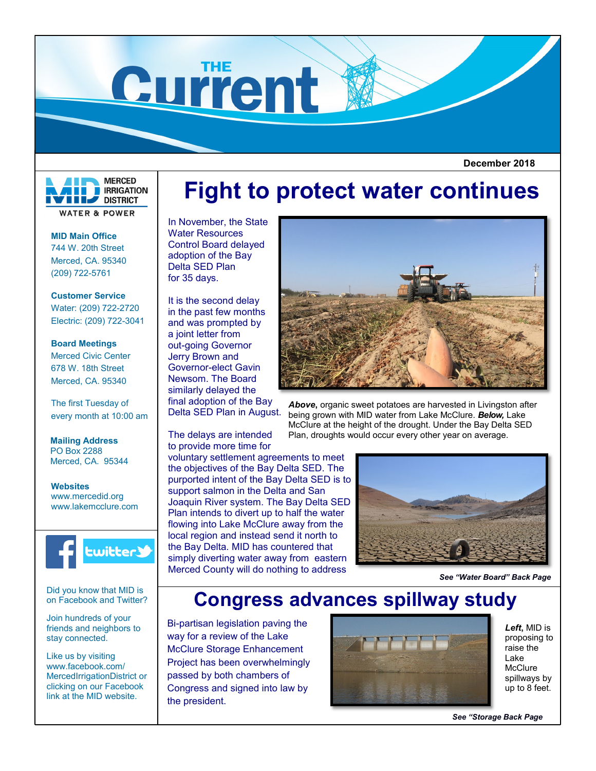

 **December 2018**



**WATER & POWER** 

**MID Main Office** 744 W. 20th Street Merced, CA. 95340 (209) 722-5761

**Customer Service** Water: (209) 722-2720 Electric: (209) 722-3041

**Board Meetings** Merced Civic Center 678 W. 18th Street Merced, CA. 95340

The first Tuesday of every month at 10:00 am

**Mailing Address** PO Box 2288 Merced, CA. 95344

**Websites** www.mercedid.org www.lakemcclure.com



Did you know that MID is on Facebook and Twitter?

Join hundreds of your friends and neighbors to stay connected.

Like us by visiting www.facebook.com/ MercedIrrigationDistrict or clicking on our Facebook link at the MID website.

## **Fight to protect water continues**

In November, the State Water Resources Control Board delayed adoption of the Bay Delta SED Plan for 35 days.

It is the second delay in the past few months and was prompted by a joint letter from out-going Governor Jerry Brown and Governor-elect Gavin Newsom. The Board similarly delayed the final adoption of the Bay Delta SED Plan in August.

The delays are intended to provide more time for voluntary settlement agreements to meet the objectives of the Bay Delta SED. The purported intent of the Bay Delta SED is to support salmon in the Delta and San Joaquin River system. The Bay Delta SED Plan intends to divert up to half the water flowing into Lake McClure away from the local region and instead send it north to the Bay Delta. MID has countered that simply diverting water away from eastern Merced County will do nothing to address



*Above***,** organic sweet potatoes are harvested in Livingston after being grown with MID water from Lake McClure. *Below,* Lake McClure at the height of the drought. Under the Bay Delta SED Plan, droughts would occur every other year on average.



*See "Water Board" Back Page*

## **Congress advances spillway study**

Bi-partisan legislation paving the way for a review of the Lake McClure Storage Enhancement Project has been overwhelmingly passed by both chambers of Congress and signed into law by the president.



*Left***,** MID is proposing to raise the Lake **McClure** spillways by up to 8 feet.

*See "Storage Back Page*